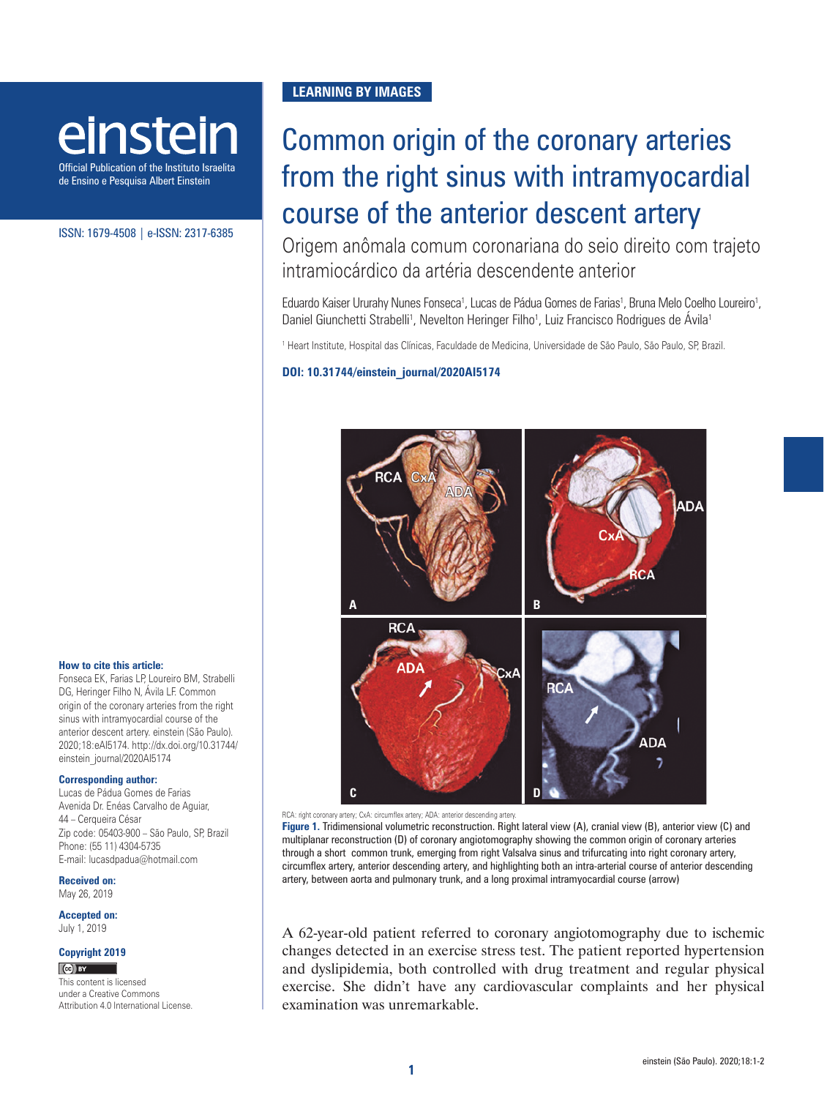# einstein

Official Publication of the Instituto Israelita de Ensino e Pesquisa Albert Einstein

ISSN: 1679-4508 | e-ISSN: 2317-6385

#### **How to cite this article:**

Fonseca EK, Farias LP, Loureiro BM, Strabelli DG, Heringer Filho N, Ávila LF. Common origin of the coronary arteries from the right sinus with intramyocardial course of the anterior descent artery. einstein (São Paulo). 2020;18:eAI5174. [http://dx.doi.org/10.31744/](http://dx.doi.org/10.31744/einstein_journal/2020AI4465) [einstein\\_journal/2020AI5](http://dx.doi.org/10.31744/einstein_journal/2020AI4465)174

#### **Corresponding author:**

Lucas de Pádua Gomes de Farias Avenida Dr. Enéas Carvalho de Aguiar, 44 – Cerqueira César Zip code: 05403-900 – São Paulo, SP, Brazil Phone: (55 11) 4304-5735 E-mail: lucasdpadua@hotmail.com

**Received on:** May 26, 2019

**Accepted on:** July 1, 2019

## **Copyright 2019**

 $\left[\bigodot\right]$  BY

This content is licensed under a Creative Commons Attribution 4.0 International License.

### **LEARNING BY IMAGES**

# Common origin of the coronary arteries from the right sinus with intramyocardial course of the anterior descent artery

Origem anômala comum coronariana do seio direito com trajeto intramiocárdico da artéria descendente anterior

Eduardo Kaiser Ururahy Nunes Fonseca<sup>1</sup>, Lucas de Pádua Gomes de Farias<sup>1</sup>, Bruna Melo Coelho Loureiro<sup>1</sup>, Daniel Giunchetti Strabelli<sup>1</sup>, Nevelton Heringer Filho<sup>1</sup>, Luiz Francisco Rodrigues de Avila<sup>1</sup>

1 Heart Institute, Hospital das Clínicas, Faculdade de Medicina, Universidade de São Paulo, São Paulo, SP, Brazil.

#### **DOI: 10.31744/einstein\_journal/2020AI5174**



RCA: right coronary artery; CxA: circumflex artery; ADA: anterior descending artery.

**Figure 1.** Tridimensional volumetric reconstruction. Right lateral view (A), cranial view (B), anterior view (C) and multiplanar reconstruction (D) of coronary angiotomography showing the common origin of coronary arteries through a short common trunk, emerging from right Valsalva sinus and trifurcating into right coronary artery, circumflex artery, anterior descending artery, and highlighting both an intra-arterial course of anterior descending artery, between aorta and pulmonary trunk, and a long proximal intramyocardial course (arrow)

A 62-year-old patient referred to coronary angiotomography due to ischemic changes detected in an exercise stress test. The patient reported hypertension and dyslipidemia, both controlled with drug treatment and regular physical exercise. She didn't have any cardiovascular complaints and her physical examination was unremarkable.